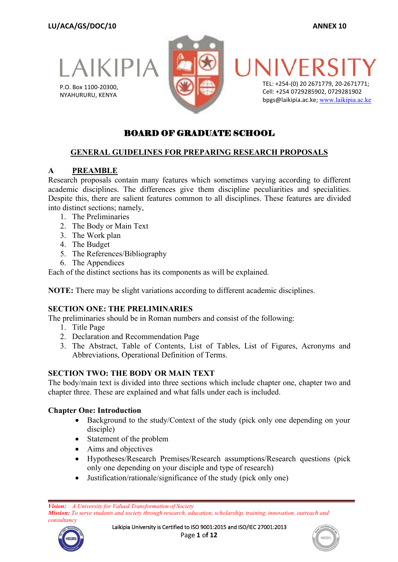LAIKIPIA

P.O. Box 1100-20300, NYAHURURU, KENYA



TEL: +254-(0) 20 2671779, 20-2671771; Cell: +254 0729285902, 0729281902 bpgs@laikipia.ac.ke; [www.laikipia.ac.ke](http://www.laikipia.ac.ke/)

# BOARD OF GRADUATE SCHOOL

#### **GENERAL GUIDELINES FOR PREPARING RESEARCH PROPOSALS**

#### **A PREAMBLE**

Research proposals contain many features which sometimes varying according to different academic disciplines. The differences give them discipline peculiarities and specialities. Despite this, there are salient features common to all disciplines. These features are divided into distinct sections; namely,

- 1. The Preliminaries
- 2. The Body or Main Text
- 3. The Work plan
- 4. The Budget
- 5. The References/Bibliography
- 6. The Appendices

Each of the distinct sections has its components as will be explained.

**NOTE:** There may be slight variations according to different academic disciplines.

#### **SECTION ONE: THE PRELIMINARIES**

The preliminaries should be in Roman numbers and consist of the following:

- 1. Title Page
- 2. Declaration and Recommendation Page
- 3. The Abstract, Table of Contents, List of Tables, List of Figures, Acronyms and Abbreviations, Operational Definition of Terms.

#### **SECTION TWO: THE BODY OR MAIN TEXT**

The body/main text is divided into three sections which include chapter one, chapter two and chapter three. These are explained and what falls under each is included.

#### **Chapter One: Introduction**

- Background to the study/Context of the study (pick only one depending on your disciple)
- Statement of the problem
- Aims and objectives
- Hypotheses/Research Premises/Research assumptions/Research questions (pick only one depending on your disciple and type of research)
- Justification/rationale/significance of the study (pick only one)



Laikipia University is Certified to ISO 9001:2015 and ISO/IEC 27001:2013 Page **1** o**f 12**

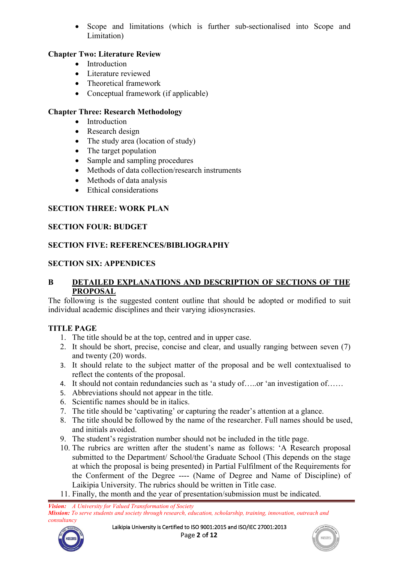Scope and limitations (which is further sub-sectionalised into Scope and Limitation)

## **Chapter Two: Literature Review**

- Introduction
- Literature reviewed
- Theoretical framework
- Conceptual framework (if applicable)

## **Chapter Three: Research Methodology**

- Introduction
- Research design
- The study area (location of study)
- The target population
- Sample and sampling procedures
- Methods of data collection/research instruments
- $\bullet$  Methods of data analysis
- Ethical considerations

## **SECTION THREE: WORK PLAN**

#### **SECTION FOUR: BUDGET**

### **SECTION FIVE: REFERENCES/BIBLIOGRAPHY**

### **SECTION SIX: APPENDICES**

#### **B DETAILED EXPLANATIONS AND DESCRIPTION OF SECTIONS OF THE PROPOSAL**

The following is the suggested content outline that should be adopted or modified to suit individual academic disciplines and their varying idiosyncrasies.

#### **TITLE PAGE**

- 
- 1. The title should be at the top, centred and in upper case.<br>2. It should be short, precise, concise and clear, and usually ranging between seven (7) and twenty (20) words.
- 3. It should relate to the subject matter of the proposal and be well contextualised to reflect the contents of the proposal.
- 4. It should not contain redundancies such as 'a study of.....or 'an investigation of......
- 5. Abbreviations should not appear in the title.
- 6. Scientific names should be in italics.
- 
- 7. The title should be 'captivating' or capturing the reader's attention at <sup>a</sup> glance.8. The title should be followed by the name of the researcher. Full names should be used, and initials avoided.
- 9. The student's registration number should not be included in the title page.
- 10. The rubrics are written after the student's name as follows: 'A Research proposal submitted to the Department/ School/the Graduate School (This depends on the stage at which the proposal is being presented) in Partial Fulfilment of the Requirements for the Conferment of the Degree ---- (Name of Degree and Name of Discipline) of Laikipia University. The rubrics should be written in Title case.
- 11. Finally, the month and the year of presentation/submission must be indicated.



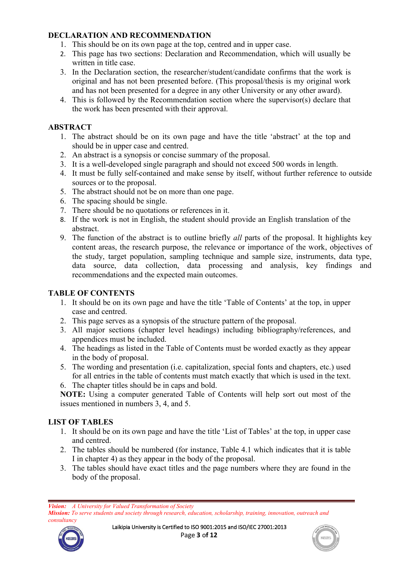### **DECLARATION AND RECOMMENDATION**

- 1. This should be on its own page at the top, centred and in upper case.
- 2. This page has two sections: Declaration and Recommendation, which will usually be written in title case.
- 3. In the Declaration section, the researcher/student/candidate confirms that the work is original and has not been presented before. (This proposal/thesis is my original work and has not been presented for a degree in any other University or any other award).
- 4. This is followed by the Recommendation section where the supervisor(s) declare that the work has been presented with their approval.

### **ABSTRACT**

- 1. The abstract should be on its own page and have the title 'abstract' at the top and should be in upper case and centred.
- 2. An abstract is a synopsis or concise summary of the proposal.
- 3. It is a well-developed single paragraph and should not exceed 500 words in length.
- 4. It must be fully self-contained and make sense by itself, without further reference to outside sources or to the proposal.
- 5. The abstract should not be on more than one page.
- 6. The spacing should be single.
- 7. There should be no quotations or references in it.
- 8. If the work is not in English, the student should provide an English translation of the abstract.
- 9. The function of the abstract is to outline briefly *all* parts of the proposal. It highlights key content areas, the research purpose, the relevance or importance of the work, objectives of the study, target population, sampling technique and sample size, instruments, data type, data source, data collection, data processing and analysis, key findings and recommendations and the expected main outcomes.

#### **TABLE OF CONTENTS**

- 1. It should be on its own page and have the title 'Table of Contents' at the top, in upper case and centred.
- 2. This page serves as a synopsis of the structure pattern of the proposal.
- 3. All major sections (chapter level headings) including bibliography/references, and appendices must be included.
- 4. The headings as listed in the Table of Contents must be worded exactly as they appear in the body of proposal.
- 5. The wording and presentation (i.e. capitalization, special fonts and chapters, etc.) used for all entries in the table of contents must match exactly that which is used in the text.

6. The chapter titles should be in caps and bold.

**NOTE:** Using a computer generated Table of Contents will help sort out most of the issues mentioned in numbers 3, 4, and 5.

#### **LIST OF TABLES**

- 1. It should be on its own page and have the title 'List of Tables' at the top, in upper case and centred.
- 2. The tables should be numbered (for instance, Table 4.1 which indicates that it is table I in chapter 4) as they appear in the body of the proposal.
- 3. The tables should have exact titles and the page numbers where they are found in the body of the proposal.

*Mission: To serve students and society through research, education, scholarship, training, innovation, outreach and consultancy*





*Vision: A University for Valued Transformation of Society*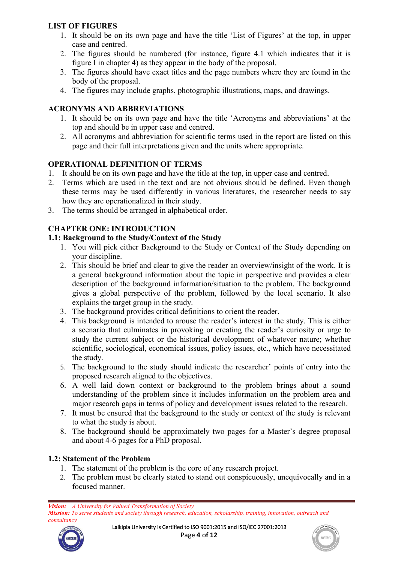## **LIST OF FIGURES**

- 1. It should be on its own page and have the title 'List of Figures' atthe top, in upper case and centred.
- 2. The figures should be numbered (for instance, figure 4.1 which indicates that it is figure I in chapter 4) as they appear in the body of the proposal.
- 3. The figures should have exact titles and the page numbers where they are found in the body of the proposal.
- 4. The figures may include graphs, photographic illustrations, maps, and drawings.

#### **ACRONYMS AND ABBREVIATIONS**

- 1. It should be on its own page and have the title 'Acronyms and abbreviations' atthe top and should be in upper case and centred.
- 2. All acronyms and abbreviation for scientific terms used in the report are listed on this page and their full interpretations given and the units where appropriate.

### **OPERATIONAL DEFINITION OF TERMS**

- 1. It should be on its own page and have the title at the top, in upper case and centred.
- 2. Terms which are used in the text and are not obvious should be defined. Even though these terms may be used differently in various literatures, the researcher needs to say how they are operationalized in their study.
- 3. The terms should be arranged in alphabetical order.

# **CHAPTER ONE: INTRODUCTION**

### **1.1: Background tothe Study/Context of the Study**

- 1. You will pick either Background to the Study or Context of the Study depending on your discipline.
- 2. This should be brief and clear to give the reader an overview/insight of the work. It is a general background information about the topic in perspective and provides a clear description of the background information/situation to the problem. The background gives a global perspective of the problem, followed by the local scenario. It also explains the target group in the study.
- 3. The background provides critical definitions to orient the reader.
- 4. This background is intended to arouse the reader's interest in the study. This is either a scenario that culminates in provoking or creating the reader's curiosity or urge to study the current subject or the historical development of whatever nature; whether scientific, sociological, economical issues, policy issues, etc., which have necessitated the study.
- 5. The background to the study should indicate the researcher' points of entry into the proposed research aligned to the objectives.
- 6. A well laid down context or background to the problem brings about a sound understanding of the problem since it includes information on the problem area and major research gaps in terms of policy and development issues related to the research.
- 7. It must be ensured that the background to the study or context of the study is relevant to what the study is about.
- 8. The background should be approximately two pages for a Master's degree proposal and about 4-6 pages for a PhD proposal.

## **1.2: Statement of the Problem**

- 1. The statement of the problem is the core of any research project.
- 2. The problem must be clearly stated to stand out conspicuously, unequivocally and in a focused manner.

*Vision: A University for Valued Transformation of Society Mission: To serve students and society through research, education, scholarship, training, innovation, outreach and consultancy*



Laikipia University is Certified to ISO 9001:2015 and ISO/IEC 27001:2013 Page **4** o**f 12**

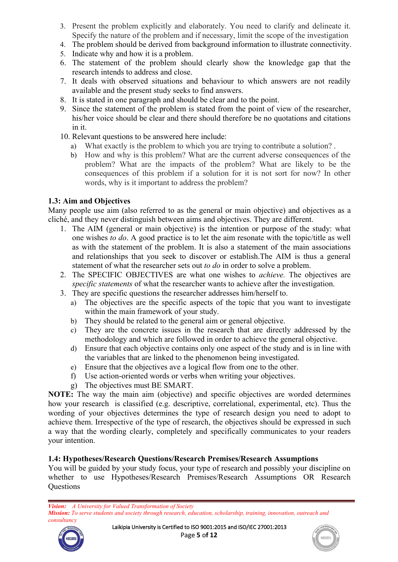- 3. Present the problem explicitly and elaborately. You need to clarify and delineate it. Specify the nature of the problem and if necessary, limit the scope of the investigation
- 4. The problem should be derived from background information to illustrate connectivity.
- 5. Indicate why and how it is a problem.
- 6. The statement of the problem should clearly show the knowledge gap that the research intends to address and close.
- 7. It deals with observed situations and behaviour to which answers are not readily available and the present study seeks to find answers.
- 8. It is stated in one paragraph and should be clear and to the point.
- 9. Since the statement of the problem is stated from the point of view of the researcher, his/her voice should be clear and there should therefore be no quotations and citations in it.
- 10. Relevant questions to be answered here include:
	- a) What exactly is the problem to which you are trying to contribute a solution? .
	- b) How and why is this problem? What are the current adverse consequences of the problem? What are the impacts of the problem? What are likely to be the consequences of this problem if a solution for it is not sort for now? In other words, why is it important to address the problem?

### **1.3: Aim and Objectives**

Many people use aim (also referred to as the general or main objective) and objectives as a cliché, and they never distinguish between aimsand objectives. They are different.

- 1. The AIM (general or main objective) is the intention or purpose of the study: what one wishes *to do*. A good practice is to let the aim resonate with the topic/title as well as with the statement of the problem. It is also a statement of the main associations and relationships that you seek to discover or establish.The AIM is thus a general statement of what the researcher sets out *to do* in order to solve a problem.
- 2. The SPECIFIC OBJECTIVES are what one wishes to *achieve.* The objectives are *specific statements* of what the researcher wants to achieve after the investigation.
- 3. They are specific questions the researcher addresses him/herself to.
	- a) The objectives are the specific aspects of the topic that you want to investigate within the main framework of your study.
	- b) They should be related to the general aim or general objective.
	- c) They are the concrete issues in the research that are directly addressed by the methodology and which are followed in order to achieve the general objective.
	- d) Ensure that each objective contains only one aspect of the study and is in line with the variables that are linked to the phenomenon being investigated.
	- e) Ensure that the objectives ave <sup>a</sup> logical flow from one to the other.f) Use action-oriented words orverbs when writing your objectives.
	-
	- g) The objectives must BE SMART.

**NOTE:** The way the main aim (objective) and specific objectives are worded determines how your research is classified (e.g. descriptive, correlational, experimental, etc). Thus the wording of your objectives determines the type of research design you need to adopt to achieve them. Irrespective of the type of research, the objectives should be expressed in such a way that the wording clearly, completely and specifically communicates to your readers your intention.

#### **1.4: Hypotheses/Research Questions/Research Premises/Research Assumptions**

You will be guided by your study focus, your type of research and possibly your discipline on whether to use Hypotheses/Research Premises/Research Assumptions OR Research **Ouestions** 



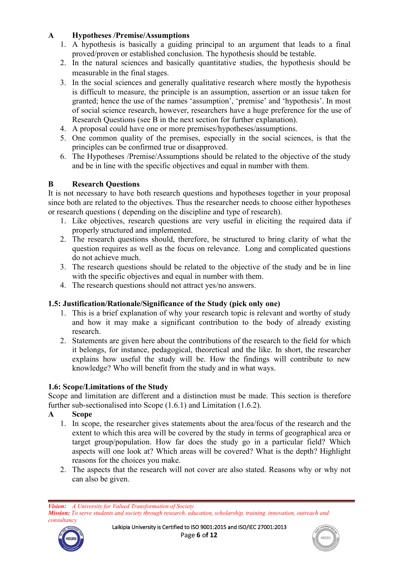## **A Hypotheses /Premise/Assumptions**

- 1. A hypothesis is basically a guiding principal to an argument that leads to a final proved/proven or established conclusion. The hypothesis should be testable.<br>2. In the natural sciences and basically quantitative studies, the hypothesis should be
- measurable in the final stages.
- 3. In the social sciences and generally qualitative research where mostly the hypothesis is difficult to measure, the principle is an assumption, assertion or an issue taken for granted; hence the use of the names 'assumption', 'premise' and 'hypothesis'. In most of social science research, however, researchers have a huge preference for the use of Research Questions (see B in the next section for further explanation).
- 4. A proposal could have one or more premises/hypotheses/assumptions.
- 5. One common quality of the premises, especially in the social sciences, is that the principles can be confirmed true or disapproved.
- 6. The Hypotheses /Premise/Assumptions should be related to the objective of the study and be in line with the specific objectives and equal in number with them.

## **B Research Questions**

It is not necessary to have both research questions and hypotheses together in your proposal since both are related to the objectives. Thus the researcher needs to choose either hypotheses or research questions ( depending on the discipline and type of research).

- 1. Like objectives, research questions are very useful in eliciting the required data if properly structured and implemented.
- 2. The research questions should, therefore, be structured to bring clarity of what the question requires as well as the focus on relevance. Long and complicated questions do not achieve much.
- 3. The research questions should be related to the objective of the study and be in line with the specific objectives and equal in number with them.
- 4. The research questions should not attract yes/no answers.

## **1.5: Justification/Rationale/Significance of the Study (pick only one)**

- 1. This is a brief explanation of why your research topic is relevant and worthy of study and how it may make a significant contribution to the body of already existing research.
- 2. Statements are given here about the contributions of the research to the field for which it belongs, for instance, pedagogical, theoretical and the like. In short, the researcher explains how useful the study will be. How the findings will contribute to new knowledge? Who will benefit from the study and in what ways.

## **1.6: Scope/Limitations of the Study**

Scope and limitation are different and a distinction must be made. This section is therefore further sub-sectionalised into Scope (1.6.1) and Limitation (1.6.2).

- **A Scope**
	- 1. In scope, the researcher gives statements about the area/focus of the research and the extent to which this area will be covered by the study in terms of geographical area or target group/population. How far does the study go in a particular field? Which aspects will one look at? Which areas will be covered? What is the depth? Highlight reasons for the choices you make.
	- 2. The aspects that the research will not cover are also stated. Reasons why or why not can also be given.

*Mission: To serve students and society through research, education, scholarship, training, innovation, outreach and consultancy*



Laikipia University is Certified to ISO 9001:2015 and ISO/IEC 27001:2013 Page **6** o**f 12**



*Vision: A University for Valued Transformation of Society*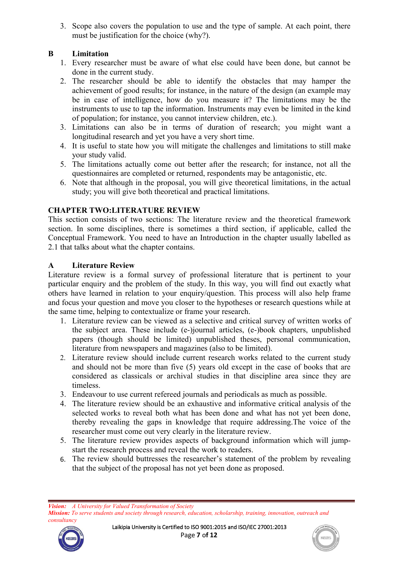3. Scope also covers the population to use and the type of sample. At each point, there must be justification for the choice (why?).

## **B Limitation**

- 1. Every researcher must be aware of what else could have been done, but cannot be done in the current study.
- 2. The researcher should be able to identify the obstacles that may hamper the achievement of good results; for instance, in the nature of the design (an example may be in case of intelligence, how do you measure it? The limitations may be the instruments to use to tap the information. Instruments may even be limited in the kind of population; for instance, you cannot interview children, etc.).
- 3. Limitations can also be in terms of duration of research; you might want a longitudinal research and yet you have a very short time.
- 4. It is useful to state how you will mitigate the challenges and limitations to still make your study valid.
- 5. The limitations actually come out better after the research; for instance, not all the questionnaires are completed or returned, respondents may be antagonistic, etc.
- 6. Note that although in the proposal, you will give theoretical limitations, in the actual study; you will give both theoretical and practical limitations.

### **CHAPTER TWO:LITERATURE REVIEW**

This section consists of two sections: The literature review and the theoretical framework section. In some disciplines, there is sometimes a third section, if applicable, called the Conceptual Framework. You need to have an Introduction in the chapter usually labelled as 2.1 that talks about what the chapter contains.

### **A Literature Review**

Literature review is a formal survey of professional literature that is pertinent to your particular enquiry and the problem of the study. In this way, you will find out exactly what others have learned in relation to your enquiry/question. This process will also help frame and focus your question and move you closer to the hypotheses or research questions while at the same time, helping to contextualize or frame your research.

- 1. Literature review can be viewed as a selective and critical survey of written works of the subject area. These include (e-)journal articles, (e-)book chapters, unpublished papers (though should be limited) unpublished theses, personal communication, literature from newspapers and magazines (also to be limited).
- 2. Literature review should include current research works related to the current study and should not be more than five (5) years old except in the case of books that are considered as classicals or archival studies in that discipline area since they are timeless.
- 3. Endeavour to use current refereed journals and periodicals as much as possible.
- 4. The literature review should be an exhaustive and informative critical analysis of the selected works to reveal both what has been done and what has not yet been done, thereby revealing the gaps in knowledge that require addressing.The voice of the researcher must come out very clearly in the literature review.
- 5. The literature review provides aspects of background information which will jump start the research process and reveal the work to readers.
- 6. The review should buttresses the researcher's statement of the problem by revealing that the subject of the proposal has not yet been done as proposed.

*Vision: A University for Valued Transformation of Society Mission: To serve students and society through research, education, scholarship, training, innovation, outreach and consultancy*



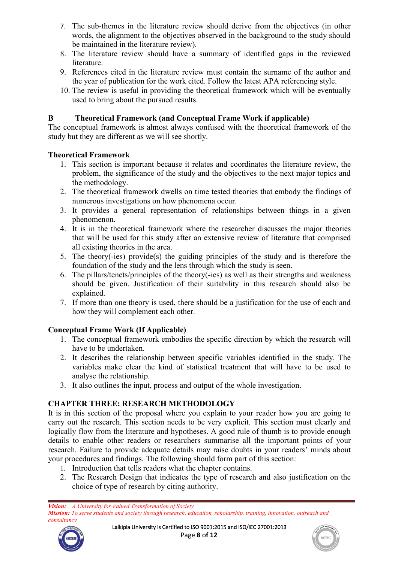- 7. The sub-themes in the literature review should derive from the objectives (in other words, the alignment to the objectives observed in the background to the study should be maintained in the literature review).
- 8. The literature review should have a summary of identified gaps in the reviewed literature.
- 9. References cited in the literature review must contain the surname of the author and the year of publication for the work cited. Follow the latest APA referencing style.
- 10. The review is useful in providing the theoretical framework which will be eventually used to bring about the pursued results.

### **B Theoretical Framework (and Conceptual Frame Work if applicable)**

The conceptual framework is almost always confused with the theoretical framework of the study but they are different as we will see shortly.

#### **Theoretical Framework**

- 1. This section is important because it relates and coordinates the literature review, the problem, the significance of the study and the objectives to the next major topics and the methodology.
- 2. The theoretical framework dwells on time tested theories that embody the findings of numerous investigations on how phenomena occur.
- 3. It provides a general representation of relationships between things in a given phenomenon.
- 4. It is in the theoretical framework where the researcher discusses the major theories that will be used for this study after an extensive review of literature that comprised all existing theories in the area.
- 5. The theory(-ies) provide(s) the guiding principles of the study and is therefore the foundation of the study and the lens through which the study is seen.
- 6. The pillars/tenets/principles of the theory( $-i$ es) as well as their strengths and weakness should be given. Justification of their suitability in this research should also be explained.
- 7. If more than one theory is used, there should be a justification for the use of each and how they will complement each other.

## **Conceptual Frame Work (If Applicable)**

- 1. The conceptual framework embodies the specific direction by which the research will have to be undertaken.
- 2. It describes the relationship between specific [variables](http://schools-education.knoji.com/what-is-a-variable/) identified in the study. The variables make clear the kind of statistical treatment that will have to be used to analyse the relationship.
- 3. It also outlines the input, process and output of the whole investigation.

## **CHAPTER THREE: RESEARCH METHODOLOGY**

It is in this section of the proposal where you explain to your reader how you are going to carry out the research. This section needs to be very explicit. This section must clearly and logically flow from the literature and hypotheses. A good rule of thumb is to provide enough details to enable other readers or researchers summarise all the important points of your research. Failure to provide adequate details may raise doubts in your readers' minds about your procedures and findings. The following should form part of this section:

- 1. Introduction that tells readers what the chapter contains.
- 2. The Research Design that indicates the type of research and also justification on the choice of type of research by citing authority.



Laikipia University is Certified to ISO 9001:2015 and ISO/IEC 27001:2013 Page **8** o**f 12**

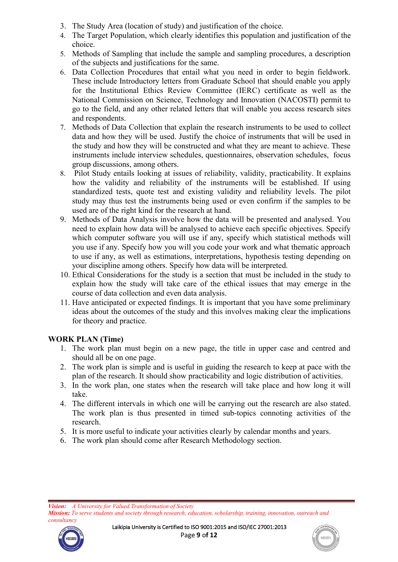- 3. The Study Area (location of study) and justification of the choice.
- 4. The Target Population, which clearly identifies this population and justification of the choice.
- 5. Methods of Sampling that include the sample and sampling procedures, a description of the subjects and justifications for the same.
- 6. Data Collection Procedures that entail what you need in order to begin fieldwork. These include Introductory letters from Graduate School that should enable you apply for the Institutional Ethics Review Committee (IERC) certificate as well as the National Commission on Science, Technology and Innovation (NACOSTI) permit to go to the field, and any other related letters that will enable you access research sites and respondents.
- 7. Methods of Data Collection that explain the research instruments to be used to collect data and how they will be used. Justify the choice of instruments that will be used in the study and how they will be constructed and what they are meant to achieve. These instruments include interview schedules, questionnaires, observation schedules, focus group discussions, among others.
- 8. Pilot Study entails looking at issues of reliability, validity, practicability. It explains how the validity and reliability of the instruments will be established. If using standardized tests, quote test and existing validity and reliability levels. The pilot study may thus test the instruments being used or even confirm if the samples to be used are of the right kind for the research at hand.
- 9. Methods of Data Analysis involve how the data will be presented and analysed. You need to explain how data will be analysed to achieve each specific objectives. Specify which computer software you will use if any, specify which statistical methods will you use if any. Specify how you will you code yourwork and what thematic approach to use if any, as well as estimations, interpretations, hypothesis testing depending on your discipline among others. Specify how data will be interpreted.
- 10. Ethical Considerations for the study is a section that must be included in the study to explain how the study will take care of the ethical issues that may emerge in the course of data collection and even data analysis.
- 11. Have anticipated or expected findings. It is important that you have some preliminary ideas about the outcomes of the study and this involves making clear the implications for theory and practice.

## **WORK PLAN (Time)**

- 1. The work plan must begin on a new page, the title in upper case and centred and should all be on one page.
- 2. The work plan is simple and is useful in guiding the research to keep at pace with the plan of the research. It should show practicability and logic distribution of activities.
- 3. In the work plan, one states when the research will take place and how long it will take.
- 4. The different intervals in which one will be carrying out the research are also stated. The work plan is thus presented in timed sub-topics connoting activities of the research.
- 5. It is more useful to indicate your activities clearly by calendar months and years.
- 6. The work plan should come after Research Methodology section.



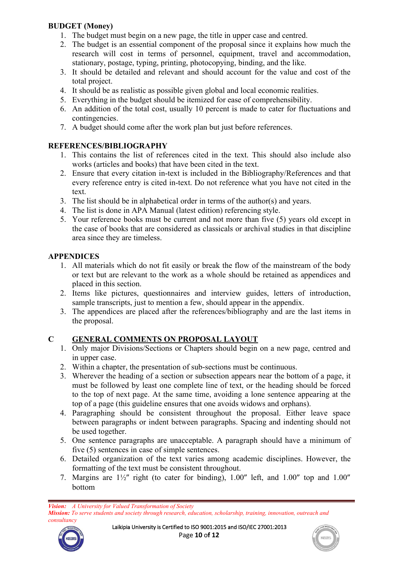## **BUDGET (Money)**

- 1. The budget must begin on a new page, the title in upper case and centred.
- 2. The budget is an essential component of the proposal since it explains how much the research will cost in terms of personnel, equipment, travel and accommodation, stationary, postage, typing, printing, photocopying, binding, and the like.
- 3. It should be detailed and relevant and should account for the value and cost of the total project.
- 4. It should be as realistic as possible given global and local economic realities.<br>5. Everything in the budget should be itemized for ease of comprehensibility.
- 
- 6. An addition of the total cost, usually 10 percent is made to cater for fluctuations and contingencies.
- 7. A budget should come after the work plan but just before references.

# **REFERENCES/BIBLIOGRAPHY**

- 1. This contains the list of references cited in the text. This should also include also works (articles and books) that have been cited in the text.
- 2. Ensure that every citation in-text is included in the Bibliography/References and that every reference entry is cited in-text. Do not reference what you have not cited in the text.
- 3. The list should be in alphabetical order in terms of the author(s) and years.
- 4. The list is done in APA Manual (latest edition) referencing style.
- 5. Your reference books must be current and not more than five (5) years old except in the case of books that are considered as classicals or archival studies in that discipline area since they are timeless.

## **APPENDICES**

- 1. All materials which do not fit easily or break the flow of the mainstream of the body or text but are relevant to the work as a whole should be retained as appendices and placed in this section.
- 2. Items like pictures, questionnaires and interview guides, letters of introduction, sample transcripts, just to mention a few, should appear in the appendix.
- 3. The appendices are placed after the references/bibliography and are the last items in the proposal.

# **C GENERAL COMMENTS ON PROPOSAL LAYOUT**

- 1. Only major Divisions/Sections or Chapters should begin on a new page, centred and
- in upper case.<br>2. Within a chapter, the presentation of sub-sections must be continuous.
- 3. Wherever the heading of a section or subsection appears near the bottom of a page, it must be followed by least one complete line of text, or the heading should be forced to the top of next page. At the same time, avoiding a lone sentence appearing at the top of a page (this guideline ensures that one avoids widows and orphans).
- 4. Paragraphing should be consistent throughout the proposal. Either leave space between paragraphs or indent between paragraphs. Spacing and indenting should not be used together.
- 5. One sentence paragraphs are unacceptable. A paragraph should have a minimum of five (5) sentences in case of simple sentences.
- 6. Detailed organization of the text varies among academic disciplines. However, the formatting of the text must be consistent throughout.
- 7. Margins are  $1\frac{1}{2}$ " right (to cater for binding),  $1.00$ " left, and  $1.00$ " top and  $1.00$ " bottom

*Mission: To serve students and society through research, education, scholarship, training, innovation, outreach and consultancy*



Laikipia University is Certified to ISO 9001:2015 and ISO/IEC 27001:2013 Page **10** o**f 12**



*Vision: A University for Valued Transformation of Society*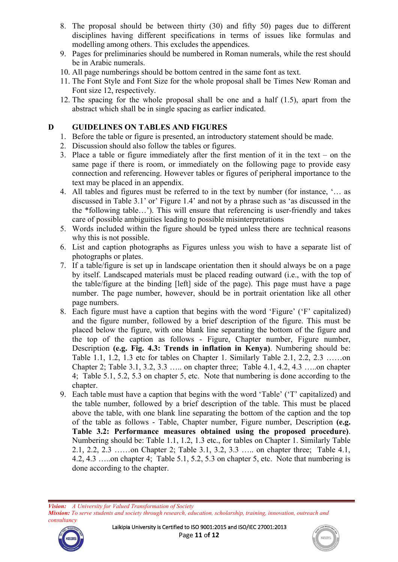- 8. The proposal should be between thirty (30) and fifty 50) pages due to different disciplines having different specifications in terms of issues like formulas and modelling among others. This excludes the appendices.
- 9. Pages for preliminaries should be numbered in Roman numerals, while the rest should be in Arabic numerals.
- 10. All page numberings should be bottom centred in the same font as text.
- 11. The Font Style and Font Size for the whole proposal shall be Times New Roman and Font size 12, respectively.
- 12. The spacing for the whole proposal shall be one and a half (1.5), apart from the abstract which shall be in single spacing as earlier indicated.

### **D GUIDELINES ON TABLES AND FIGURES**

- 1. Before the table or figure is presented, an introductory statement should be made.
- 2. Discussion should also follow the tables or figures.
- 3. Place a table or figure immediately after the first mention of it in the text on the same page if there is room, or immediately on the following page to provide easy connection and referencing. However tables or figures of peripheral importance to the text may be placed in an appendix.
- 4. All tables and figures must be referred to in the text by number (for instance, '… as discussed in Table 3.1' or' Figure 1.4' and not by a phrase such as 'as discussed in the the \*following table…'). This will ensure that referencing is user-friendly and takes care of possible ambiguities leading to possible misinterpretations
- 5. Words included within the figure should be typed unless there are technical reasons why this is not possible.
- 6. List and caption photographs as Figures unless you wish to have a separate list of photographs or plates.
- 7. If a table/figure isset up in landscape orientation then it should always be on a page by itself. Landscaped materials must be placed reading outward (i.e., with the top of the table/figure at the binding [left] side of the page). This page must have a page number. The page number, however, should be in portrait orientation like all other page numbers.
- 8. Each figure must have a caption that begins with the word 'Figure' ('F' capitalized) and the figure number, followed by a brief description of the figure. This must be placed below the figure, with one blank line separating the bottom of the figure and the top of the caption as follows - Figure, Chapter number, Figure number, Description **(e.g. Fig. 4.3: Trends in inflation in Kenya)**. Numbering should be: Table 1.1, 1.2, 1.3 etc for tables on Chapter 1. Similarly Table 2.1, 2.2, 2.3 ……on Chapter 2; Table 3.1, 3.2, 3.3 ….. on chapter three; Table 4.1, 4.2, 4.3 …..on chapter 4; Table 5.1, 5.2, 5.3 on chapter 5, etc. Note that numbering is done according to the chapter.
- 9. Each table must have a caption that begins with the word 'Table'('T' capitalized) and the table number, followed by a brief description of the table. This must be placed above the table, with one blank line separating the bottom of the caption and the top of the table as follows - Table, Chapter number, Figure number, Description **(e.g. Table 3.2: Performance measures obtained using the proposed procedure)**. Numbering should be: Table 1.1, 1.2, 1.3 etc., for tables on Chapter 1. Similarly Table 2.1, 2.2, 2.3 ……on Chapter 2; Table 3.1, 3.2,3.3 ….. on chapter three; Table 4.1, 4.2, 4.3 … on chapter 4; Table 5.1, 5.2, 5.3 on chapter 5, etc. Note that numbering is done according to the chapter.

*Vision: A University for Valued Transformation of Society Mission: To serve students and society through research, education, scholarship, training, innovation, outreach and consultancy*



Laikipia University is Certified to ISO 9001:2015 and ISO/IEC 27001:2013 Page **11** o**f 12**